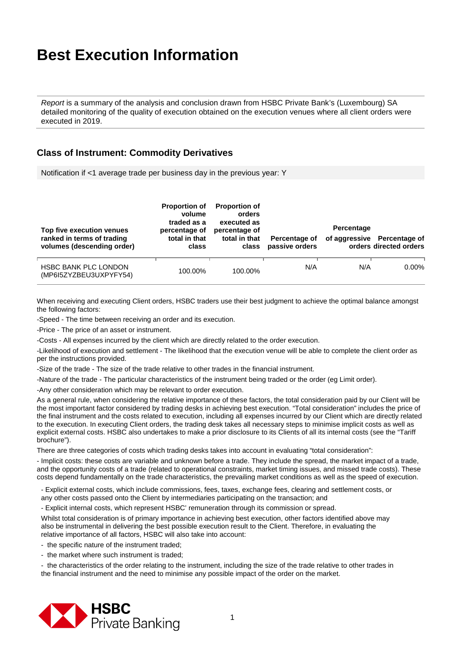*Report* is a summary of the analysis and conclusion drawn from HSBC Private Bank's (Luxembourg) SA detailed monitoring of the quality of execution obtained on the execution venues where all client orders were executed in 2019.

### **Class of Instrument: Commodity Derivatives**

Notification if <1 average trade per business day in the previous year: Y

| Top five execution venues<br>ranked in terms of trading<br>volumes (descending order) | <b>Proportion of</b><br>volume<br>traded as a<br>percentage of<br>total in that<br>class | <b>Proportion of</b><br>orders<br>executed as<br>percentage of<br>total in that<br>class | Percentage of<br>passive orders | Percentage | of aggressive Percentage of<br>orders directed orders |
|---------------------------------------------------------------------------------------|------------------------------------------------------------------------------------------|------------------------------------------------------------------------------------------|---------------------------------|------------|-------------------------------------------------------|
| HSBC BANK PLC LONDON<br>(MP6I5ZYZBEU3UXPYFY54)                                        | 100.00%                                                                                  | 100.00%                                                                                  | N/A                             | N/A        | 0.00%                                                 |

When receiving and executing Client orders, HSBC traders use their best judgment to achieve the optimal balance amongst the following factors:

-Speed - The time between receiving an order and its execution.

-Price - The price of an asset or instrument.

-Costs - All expenses incurred by the client which are directly related to the order execution.

-Likelihood of execution and settlement - The likelihood that the execution venue will be able to complete the client order as per the instructions provided.

-Size of the trade - The size of the trade relative to other trades in the financial instrument.

-Nature of the trade - The particular characteristics of the instrument being traded or the order (eg Limit order).

-Any other consideration which may be relevant to order execution.

As a general rule, when considering the relative importance of these factors, the total consideration paid by our Client will be the most important factor considered by trading desks in achieving best execution. "Total consideration" includes the price of the final instrument and the costs related to execution, including all expenses incurred by our Client which are directly related to the execution. In executing Client orders, the trading desk takes all necessary steps to minimise implicit costs as well as explicit external costs. HSBC also undertakes to make a prior disclosure to its Clients of all its internal costs (see the "Tariff brochure").

There are three categories of costs which trading desks takes into account in evaluating "total consideration":

- Implicit costs: these costs are variable and unknown before a trade. They include the spread, the market impact of a trade, and the opportunity costs of a trade (related to operational constraints, market timing issues, and missed trade costs). These costs depend fundamentally on the trade characteristics, the prevailing market conditions as well as the speed of execution.

- Explicit external costs, which include commissions, fees, taxes, exchange fees, clearing and settlement costs, or any other costs passed onto the Client by intermediaries participating on the transaction; and

- Explicit internal costs, which represent HSBC' remuneration through its commission or spread.

Whilst total consideration is of primary importance in achieving best execution, other factors identified above may also be instrumental in delivering the best possible execution result to the Client. Therefore, in evaluating the relative importance of all factors, HSBC will also take into account:

- the specific nature of the instrument traded;
- the market where such instrument is traded;

- the characteristics of the order relating to the instrument, including the size of the trade relative to other trades in the financial instrument and the need to minimise any possible impact of the order on the market.

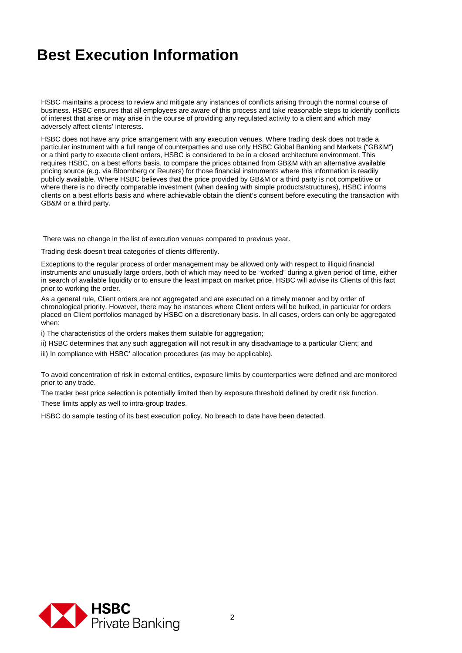HSBC maintains a process to review and mitigate any instances of conflicts arising through the normal course of business. HSBC ensures that all employees are aware of this process and take reasonable steps to identify conflicts of interest that arise or may arise in the course of providing any regulated activity to a client and which may adversely affect clients' interests.

HSBC does not have any price arrangement with any execution venues. Where trading desk does not trade a particular instrument with a full range of counterparties and use only HSBC Global Banking and Markets ("GB&M") or a third party to execute client orders, HSBC is considered to be in a closed architecture environment. This requires HSBC, on a best efforts basis, to compare the prices obtained from GB&M with an alternative available pricing source (e.g. via Bloomberg or Reuters) for those financial instruments where this information is readily publicly available. Where HSBC believes that the price provided by GB&M or a third party is not competitive or where there is no directly comparable investment (when dealing with simple products/structures), HSBC informs clients on a best efforts basis and where achievable obtain the client's consent before executing the transaction with GB&M or a third party.

There was no change in the list of execution venues compared to previous year.

Trading desk doesn't treat categories of clients differently.

Exceptions to the regular process of order management may be allowed only with respect to illiquid financial instruments and unusually large orders, both of which may need to be "worked" during a given period of time, either in search of available liquidity or to ensure the least impact on market price. HSBC will advise its Clients of this fact prior to working the order.

As a general rule, Client orders are not aggregated and are executed on a timely manner and by order of chronological priority. However, there may be instances where Client orders will be bulked, in particular for orders placed on Client portfolios managed by HSBC on a discretionary basis. In all cases, orders can only be aggregated when:

i) The characteristics of the orders makes them suitable for aggregation;

ii) HSBC determines that any such aggregation will not result in any disadvantage to a particular Client; and

iii) In compliance with HSBC' allocation procedures (as may be applicable).

To avoid concentration of risk in external entities, exposure limits by counterparties were defined and are monitored prior to any trade.

The trader best price selection is potentially limited then by exposure threshold defined by credit risk function. These limits apply as well to intra-group trades.

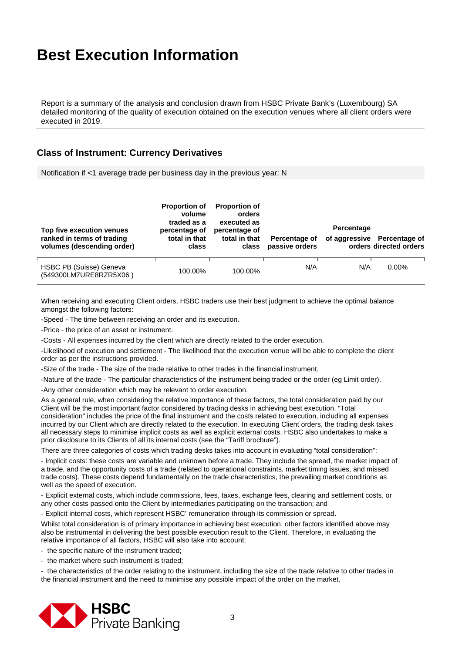Report is a summary of the analysis and conclusion drawn from HSBC Private Bank's (Luxembourg) SA detailed monitoring of the quality of execution obtained on the execution venues where all client orders were executed in 2019.

### **Class of Instrument: Currency Derivatives**

Notification if <1 average trade per business day in the previous year: N

| Top five execution venues<br>ranked in terms of trading<br>volumes (descending order) | <b>Proportion of</b><br>volume<br>traded as a<br>percentage of<br>total in that<br>class | <b>Proportion of</b><br>orders<br>executed as<br>percentage of<br>total in that<br>class | Percentage of<br>passive orders | Percentage | of aggressive Percentage of<br>orders directed orders |
|---------------------------------------------------------------------------------------|------------------------------------------------------------------------------------------|------------------------------------------------------------------------------------------|---------------------------------|------------|-------------------------------------------------------|
| HSBC PB (Suisse) Geneva<br>(549300LM7URE8RZR5X06)                                     | 100.00%                                                                                  | 100.00%                                                                                  | N/A                             | N/A        | $0.00\%$                                              |

When receiving and executing Client orders, HSBC traders use their best judgment to achieve the optimal balance amongst the following factors:

-Speed - The time between receiving an order and its execution.

-Price - the price of an asset or instrument.

-Costs - All expenses incurred by the client which are directly related to the order execution.

-Likelihood of execution and settlement - The likelihood that the execution venue will be able to complete the client order as per the instructions provided.

-Size of the trade - The size of the trade relative to other trades in the financial instrument.

-Nature of the trade - The particular characteristics of the instrument being traded or the order (eg Limit order).

-Any other consideration which may be relevant to order execution.

As a general rule, when considering the relative importance of these factors, the total consideration paid by our Client will be the most important factor considered by trading desks in achieving best execution. "Total consideration" includes the price of the final instrument and the costs related to execution, including all expenses incurred by our Client which are directly related to the execution. In executing Client orders, the trading desk takes all necessary steps to minimise implicit costs as well as explicit external costs. HSBC also undertakes to make a prior disclosure to its Clients of all its internal costs (see the "Tariff brochure").

There are three categories of costs which trading desks takes into account in evaluating "total consideration":

- Implicit costs: these costs are variable and unknown before a trade. They include the spread, the market impact of a trade, and the opportunity costs of a trade (related to operational constraints, market timing issues, and missed trade costs). These costs depend fundamentally on the trade characteristics, the prevailing market conditions as well as the speed of execution.

- Explicit external costs, which include commissions, fees, taxes, exchange fees, clearing and settlement costs, or any other costs passed onto the Client by intermediaries participating on the transaction; and

- Explicit internal costs, which represent HSBC' remuneration through its commission or spread.

Whilst total consideration is of primary importance in achieving best execution, other factors identified above may also be instrumental in delivering the best possible execution result to the Client. Therefore, in evaluating the relative importance of all factors, HSBC will also take into account:

- the specific nature of the instrument traded;

- the market where such instrument is traded;

- the characteristics of the order relating to the instrument, including the size of the trade relative to other trades in the financial instrument and the need to minimise any possible impact of the order on the market.

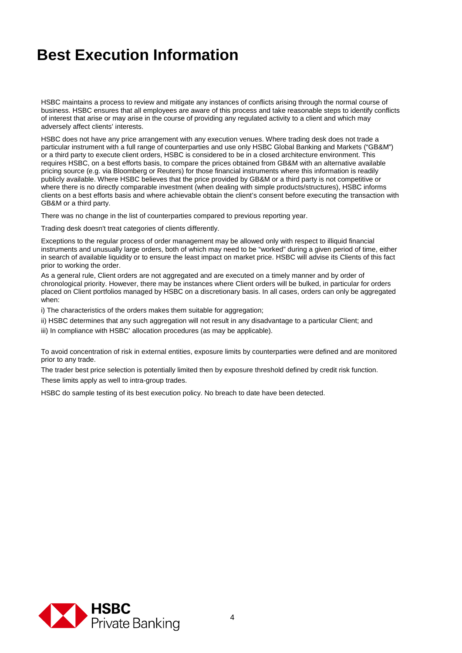HSBC maintains a process to review and mitigate any instances of conflicts arising through the normal course of business. HSBC ensures that all employees are aware of this process and take reasonable steps to identify conflicts of interest that arise or may arise in the course of providing any regulated activity to a client and which may adversely affect clients' interests.

HSBC does not have any price arrangement with any execution venues. Where trading desk does not trade a particular instrument with a full range of counterparties and use only HSBC Global Banking and Markets ("GB&M") or a third party to execute client orders, HSBC is considered to be in a closed architecture environment. This requires HSBC, on a best efforts basis, to compare the prices obtained from GB&M with an alternative available pricing source (e.g. via Bloomberg or Reuters) for those financial instruments where this information is readily publicly available. Where HSBC believes that the price provided by GB&M or a third party is not competitive or where there is no directly comparable investment (when dealing with simple products/structures), HSBC informs clients on a best efforts basis and where achievable obtain the client's consent before executing the transaction with GB&M or a third party.

There was no change in the list of counterparties compared to previous reporting year.

Trading desk doesn't treat categories of clients differently.

Exceptions to the regular process of order management may be allowed only with respect to illiquid financial instruments and unusually large orders, both of which may need to be "worked" during a given period of time, either in search of available liquidity or to ensure the least impact on market price. HSBC will advise its Clients of this fact prior to working the order.

As a general rule, Client orders are not aggregated and are executed on a timely manner and by order of chronological priority. However, there may be instances where Client orders will be bulked, in particular for orders placed on Client portfolios managed by HSBC on a discretionary basis. In all cases, orders can only be aggregated when:

i) The characteristics of the orders makes them suitable for aggregation;

- ii) HSBC determines that any such aggregation will not result in any disadvantage to a particular Client; and
- iii) In compliance with HSBC' allocation procedures (as may be applicable).

To avoid concentration of risk in external entities, exposure limits by counterparties were defined and are monitored prior to any trade.

The trader best price selection is potentially limited then by exposure threshold defined by credit risk function. These limits apply as well to intra-group trades.

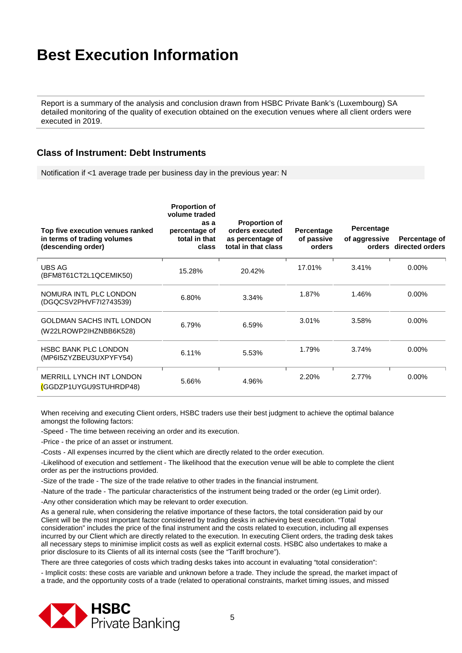Report is a summary of the analysis and conclusion drawn from HSBC Private Bank's (Luxembourg) SA detailed monitoring of the quality of execution obtained on the execution venues where all client orders were executed in 2019.

#### **Class of Instrument: Debt Instruments**

Notification if <1 average trade per business day in the previous year: N

| Top five execution venues ranked<br>in terms of trading volumes<br>(descending order) | <b>Proportion of</b><br>volume traded<br>as a<br>percentage of<br>total in that<br>class | <b>Proportion of</b><br>orders executed<br>as percentage of<br>total in that class | Percentage<br>of passive<br>orders | Percentage<br>of aggressive | Percentage of<br>orders directed orders |
|---------------------------------------------------------------------------------------|------------------------------------------------------------------------------------------|------------------------------------------------------------------------------------|------------------------------------|-----------------------------|-----------------------------------------|
| UBS AG<br>(BFM8T61CT2L1QCEMIK50)                                                      | 15.28%                                                                                   | 20.42%                                                                             | 17.01%                             | 3.41%                       | $0.00\%$                                |
| NOMURA INTL PLC LONDON<br>(DGQCSV2PHVF7I2743539)                                      | 6.80%                                                                                    | 3.34%                                                                              | 1.87%                              | 1.46%                       | $0.00\%$                                |
| <b>GOLDMAN SACHS INTL LONDON</b><br>(W22LROWP2IHZNBB6K528)                            | 6.79%                                                                                    | 6.59%                                                                              | 3.01%                              | 3.58%                       | $0.00\%$                                |
| <b>HSBC BANK PLC LONDON</b><br>(MP6I5ZYZBEU3UXPYFY54)                                 | 6.11%                                                                                    | 5.53%                                                                              | 1.79%                              | 3.74%                       | $0.00\%$                                |
| <b>MERRILL LYNCH INT LONDON</b><br>(GGDZP1UYGU9STUHRDP48)                             | 5.66%                                                                                    | 4.96%                                                                              | 2.20%                              | 2.77%                       | $0.00\%$                                |

When receiving and executing Client orders, HSBC traders use their best judgment to achieve the optimal balance amongst the following factors:

-Speed - The time between receiving an order and its execution.

-Price - the price of an asset or instrument.

-Costs - All expenses incurred by the client which are directly related to the order execution.

-Likelihood of execution and settlement - The likelihood that the execution venue will be able to complete the client order as per the instructions provided.

-Size of the trade - The size of the trade relative to other trades in the financial instrument.

-Nature of the trade - The particular characteristics of the instrument being traded or the order (eg Limit order).

-Any other consideration which may be relevant to order execution.

As a general rule, when considering the relative importance of these factors, the total consideration paid by our Client will be the most important factor considered by trading desks in achieving best execution. "Total consideration" includes the price of the final instrument and the costs related to execution, including all expenses incurred by our Client which are directly related to the execution. In executing Client orders, the trading desk takes all necessary steps to minimise implicit costs as well as explicit external costs. HSBC also undertakes to make a prior disclosure to its Clients of all its internal costs (see the "Tariff brochure").

There are three categories of costs which trading desks takes into account in evaluating "total consideration":

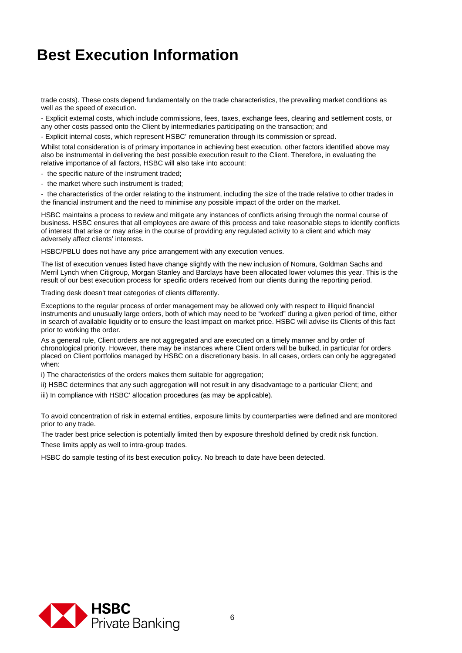trade costs). These costs depend fundamentally on the trade characteristics, the prevailing market conditions as well as the speed of execution.

- Explicit external costs, which include commissions, fees, taxes, exchange fees, clearing and settlement costs, or any other costs passed onto the Client by intermediaries participating on the transaction; and

- Explicit internal costs, which represent HSBC' remuneration through its commission or spread.

Whilst total consideration is of primary importance in achieving best execution, other factors identified above may also be instrumental in delivering the best possible execution result to the Client. Therefore, in evaluating the relative importance of all factors, HSBC will also take into account:

- the specific nature of the instrument traded;
- the market where such instrument is traded;

- the characteristics of the order relating to the instrument, including the size of the trade relative to other trades in the financial instrument and the need to minimise any possible impact of the order on the market.

HSBC maintains a process to review and mitigate any instances of conflicts arising through the normal course of business. HSBC ensures that all employees are aware of this process and take reasonable steps to identify conflicts of interest that arise or may arise in the course of providing any regulated activity to a client and which may adversely affect clients' interests.

HSBC/PBLU does not have any price arrangement with any execution venues.

The list of execution venues listed have change slightly with the new inclusion of Nomura, Goldman Sachs and Merril Lynch when Citigroup, Morgan Stanley and Barclays have been allocated lower volumes this year. This is the result of our best execution process for specific orders received from our clients during the reporting period.

Trading desk doesn't treat categories of clients differently.

Exceptions to the regular process of order management may be allowed only with respect to illiquid financial instruments and unusually large orders, both of which may need to be "worked" during a given period of time, either in search of available liquidity or to ensure the least impact on market price. HSBC will advise its Clients of this fact prior to working the order.

As a general rule, Client orders are not aggregated and are executed on a timely manner and by order of chronological priority. However, there may be instances where Client orders will be bulked, in particular for orders placed on Client portfolios managed by HSBC on a discretionary basis. In all cases, orders can only be aggregated when:

i) The characteristics of the orders makes them suitable for aggregation;

ii) HSBC determines that any such aggregation will not result in any disadvantage to a particular Client; and

iii) In compliance with HSBC' allocation procedures (as may be applicable).

To avoid concentration of risk in external entities, exposure limits by counterparties were defined and are monitored prior to any trade.

The trader best price selection is potentially limited then by exposure threshold defined by credit risk function. These limits apply as well to intra-group trades.

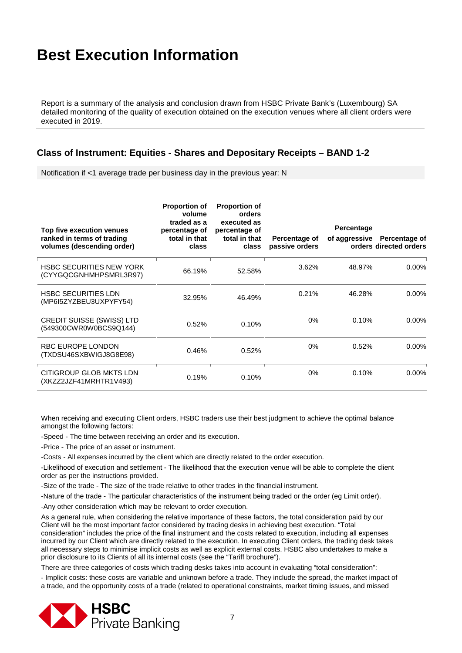Report is a summary of the analysis and conclusion drawn from HSBC Private Bank's (Luxembourg) SA detailed monitoring of the quality of execution obtained on the execution venues where all client orders were executed in 2019.

#### **Class of Instrument: Equities - Shares and Depositary Receipts – BAND 1-2**

Notification if <1 average trade per business day in the previous year: N

| Top five execution venues<br>ranked in terms of trading<br>volumes (descending order) | <b>Proportion of</b><br>volume<br>traded as a<br>percentage of<br>total in that<br>class | <b>Proportion of</b><br>orders<br>executed as<br>percentage of<br>total in that<br>class | Percentage of<br>passive orders | Percentage<br>of aggressive | Percentage of<br>orders directed orders |
|---------------------------------------------------------------------------------------|------------------------------------------------------------------------------------------|------------------------------------------------------------------------------------------|---------------------------------|-----------------------------|-----------------------------------------|
| <b>HSBC SECURITIES NEW YORK</b><br>(CYYGQCGNHMHPSMRL3R97)                             | 66.19%                                                                                   | 52.58%                                                                                   | 3.62%                           | 48.97%                      | $0.00\%$                                |
| <b>HSBC SECURITIES LDN</b><br>(MP6I5ZYZBEU3UXPYFY54)                                  | 32.95%                                                                                   | 46.49%                                                                                   | 0.21%                           | 46.28%                      | $0.00\%$                                |
| <b>CREDIT SUISSE (SWISS) LTD</b><br>(549300CWR0W0BCS9Q144)                            | 0.52%                                                                                    | 0.10%                                                                                    | 0%                              | 0.10%                       | $0.00\%$                                |
| <b>RBC EUROPE LONDON</b><br>(TXDSU46SXBWIGJ8G8E98)                                    | 0.46%                                                                                    | 0.52%                                                                                    | 0%                              | 0.52%                       | $0.00\%$                                |
| CITIGROUP GLOB MKTS LDN<br>(XKZZ2JZF41MRHTR1V493)                                     | 0.19%                                                                                    | 0.10%                                                                                    | 0%                              | 0.10%                       | $0.00\%$                                |

When receiving and executing Client orders, HSBC traders use their best judgment to achieve the optimal balance amongst the following factors:

-Speed - The time between receiving an order and its execution.

-Price - The price of an asset or instrument.

-Costs - All expenses incurred by the client which are directly related to the order execution.

-Likelihood of execution and settlement - The likelihood that the execution venue will be able to complete the client order as per the instructions provided.

-Size of the trade - The size of the trade relative to other trades in the financial instrument.

-Nature of the trade - The particular characteristics of the instrument being traded or the order (eg Limit order).

-Any other consideration which may be relevant to order execution.

As a general rule, when considering the relative importance of these factors, the total consideration paid by our Client will be the most important factor considered by trading desks in achieving best execution. "Total consideration" includes the price of the final instrument and the costs related to execution, including all expenses incurred by our Client which are directly related to the execution. In executing Client orders, the trading desk takes all necessary steps to minimise implicit costs as well as explicit external costs. HSBC also undertakes to make a prior disclosure to its Clients of all its internal costs (see the "Tariff brochure").

There are three categories of costs which trading desks takes into account in evaluating "total consideration":

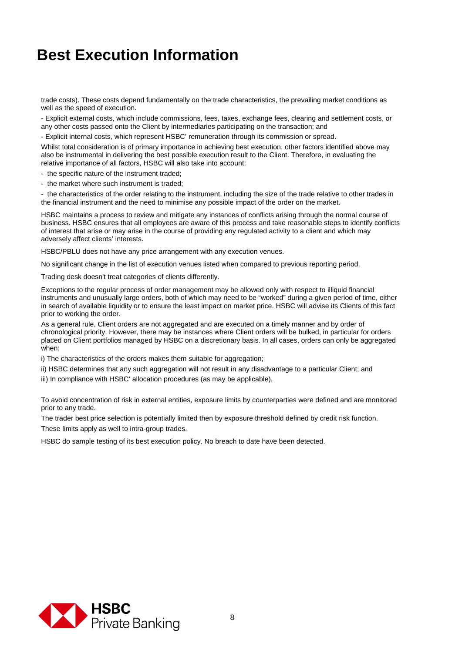trade costs). These costs depend fundamentally on the trade characteristics, the prevailing market conditions as well as the speed of execution.

- Explicit external costs, which include commissions, fees, taxes, exchange fees, clearing and settlement costs, or any other costs passed onto the Client by intermediaries participating on the transaction; and

- Explicit internal costs, which represent HSBC' remuneration through its commission or spread.

Whilst total consideration is of primary importance in achieving best execution, other factors identified above may also be instrumental in delivering the best possible execution result to the Client. Therefore, in evaluating the relative importance of all factors, HSBC will also take into account:

- the specific nature of the instrument traded;

- the market where such instrument is traded;

- the characteristics of the order relating to the instrument, including the size of the trade relative to other trades in the financial instrument and the need to minimise any possible impact of the order on the market.

HSBC maintains a process to review and mitigate any instances of conflicts arising through the normal course of business. HSBC ensures that all employees are aware of this process and take reasonable steps to identify conflicts of interest that arise or may arise in the course of providing any regulated activity to a client and which may adversely affect clients' interests.

HSBC/PBLU does not have any price arrangement with any execution venues.

No significant change in the list of execution venues listed when compared to previous reporting period.

Trading desk doesn't treat categories of clients differently.

Exceptions to the regular process of order management may be allowed only with respect to illiquid financial instruments and unusually large orders, both of which may need to be "worked" during a given period of time, either in search of available liquidity or to ensure the least impact on market price. HSBC will advise its Clients of this fact prior to working the order.

As a general rule, Client orders are not aggregated and are executed on a timely manner and by order of chronological priority. However, there may be instances where Client orders will be bulked, in particular for orders placed on Client portfolios managed by HSBC on a discretionary basis. In all cases, orders can only be aggregated when:

i) The characteristics of the orders makes them suitable for aggregation;

ii) HSBC determines that any such aggregation will not result in any disadvantage to a particular Client; and

iii) In compliance with HSBC' allocation procedures (as may be applicable).

To avoid concentration of risk in external entities, exposure limits by counterparties were defined and are monitored prior to any trade.

The trader best price selection is potentially limited then by exposure threshold defined by credit risk function.

These limits apply as well to intra-group trades.

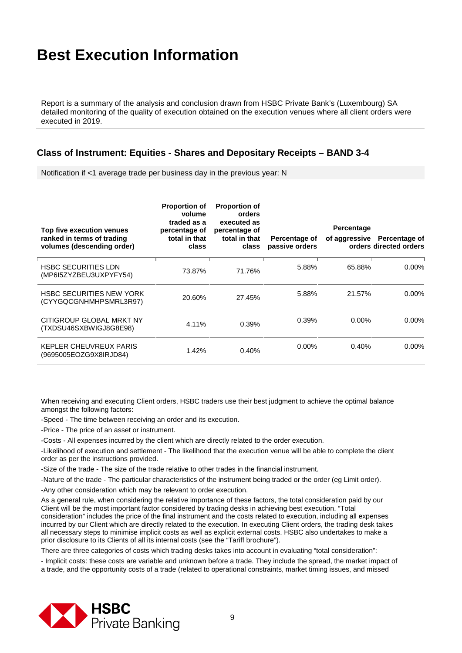Report is a summary of the analysis and conclusion drawn from HSBC Private Bank's (Luxembourg) SA detailed monitoring of the quality of execution obtained on the execution venues where all client orders were executed in 2019.

#### **Class of Instrument: Equities - Shares and Depositary Receipts – BAND 3-4**

Notification if <1 average trade per business day in the previous year: N

| Top five execution venues<br>ranked in terms of trading<br>volumes (descending order) | <b>Proportion of</b><br>volume<br>traded as a<br>percentage of<br>total in that<br>class | <b>Proportion of</b><br>orders<br>executed as<br>percentage of<br>total in that<br>class | Percentage of<br>passive orders | Percentage<br>of aggressive | Percentage of<br>orders directed orders |
|---------------------------------------------------------------------------------------|------------------------------------------------------------------------------------------|------------------------------------------------------------------------------------------|---------------------------------|-----------------------------|-----------------------------------------|
| <b>HSBC SECURITIES LDN</b><br>(MP6I5ZYZBEU3UXPYFY54)                                  | 73.87%                                                                                   | 71.76%                                                                                   | 5.88%                           | 65.88%                      | $0.00\%$                                |
| <b>HSBC SECURITIES NEW YORK</b><br>(CYYGQCGNHMHPSMRL3R97)                             | 20.60%                                                                                   | 27.45%                                                                                   | 5.88%                           | 21.57%                      | $0.00\%$                                |
| CITIGROUP GLOBAL MRKT NY<br>(TXDSU46SXBWIGJ8G8E98)                                    | 4.11%                                                                                    | 0.39%                                                                                    | 0.39%                           | $0.00\%$                    | $0.00\%$                                |
| KEPLER CHEUVREUX PARIS<br>(9695005EOZG9X8IRJD84)                                      | 1.42%                                                                                    | 0.40%                                                                                    | $0.00\%$                        | 0.40%                       | $0.00\%$                                |

When receiving and executing Client orders, HSBC traders use their best judgment to achieve the optimal balance amongst the following factors:

-Speed - The time between receiving an order and its execution.

-Price - The price of an asset or instrument.

-Costs - All expenses incurred by the client which are directly related to the order execution.

-Likelihood of execution and settlement - The likelihood that the execution venue will be able to complete the client order as per the instructions provided.

-Size of the trade - The size of the trade relative to other trades in the financial instrument.

-Nature of the trade - The particular characteristics of the instrument being traded or the order (eg Limit order).

-Any other consideration which may be relevant to order execution.

As a general rule, when considering the relative importance of these factors, the total consideration paid by our Client will be the most important factor considered by trading desks in achieving best execution. "Total consideration" includes the price of the final instrument and the costs related to execution, including all expenses incurred by our Client which are directly related to the execution. In executing Client orders, the trading desk takes all necessary steps to minimise implicit costs as well as explicit external costs. HSBC also undertakes to make a prior disclosure to its Clients of all its internal costs (see the "Tariff brochure").

There are three categories of costs which trading desks takes into account in evaluating "total consideration":

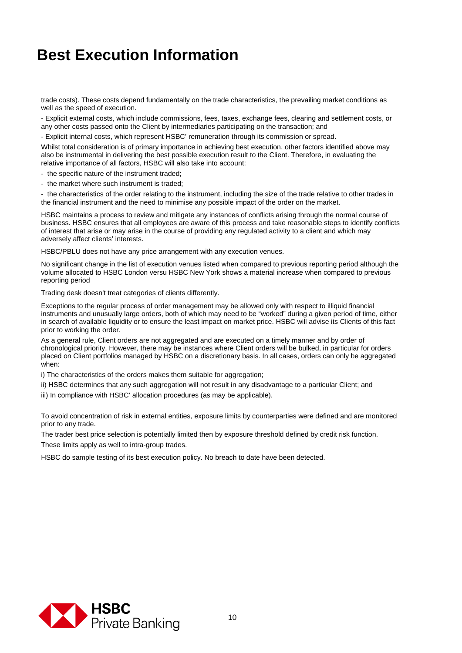trade costs). These costs depend fundamentally on the trade characteristics, the prevailing market conditions as well as the speed of execution.

- Explicit external costs, which include commissions, fees, taxes, exchange fees, clearing and settlement costs, or any other costs passed onto the Client by intermediaries participating on the transaction; and

- Explicit internal costs, which represent HSBC' remuneration through its commission or spread.

Whilst total consideration is of primary importance in achieving best execution, other factors identified above may also be instrumental in delivering the best possible execution result to the Client. Therefore, in evaluating the relative importance of all factors, HSBC will also take into account:

- the specific nature of the instrument traded;
- the market where such instrument is traded;

- the characteristics of the order relating to the instrument, including the size of the trade relative to other trades in the financial instrument and the need to minimise any possible impact of the order on the market.

HSBC maintains a process to review and mitigate any instances of conflicts arising through the normal course of business. HSBC ensures that all employees are aware of this process and take reasonable steps to identify conflicts of interest that arise or may arise in the course of providing any regulated activity to a client and which may adversely affect clients' interests.

HSBC/PBLU does not have any price arrangement with any execution venues.

No significant change in the list of execution venues listed when compared to previous reporting period although the volume allocated to HSBC London versu HSBC New York shows a material increase when compared to previous reporting period

Trading desk doesn't treat categories of clients differently.

Exceptions to the regular process of order management may be allowed only with respect to illiquid financial instruments and unusually large orders, both of which may need to be "worked" during a given period of time, either in search of available liquidity or to ensure the least impact on market price. HSBC will advise its Clients of this fact prior to working the order.

As a general rule, Client orders are not aggregated and are executed on a timely manner and by order of chronological priority. However, there may be instances where Client orders will be bulked, in particular for orders placed on Client portfolios managed by HSBC on a discretionary basis. In all cases, orders can only be aggregated when:

i) The characteristics of the orders makes them suitable for aggregation;

ii) HSBC determines that any such aggregation will not result in any disadvantage to a particular Client; and

iii) In compliance with HSBC' allocation procedures (as may be applicable).

To avoid concentration of risk in external entities, exposure limits by counterparties were defined and are monitored prior to any trade.

The trader best price selection is potentially limited then by exposure threshold defined by credit risk function. These limits apply as well to intra-group trades.

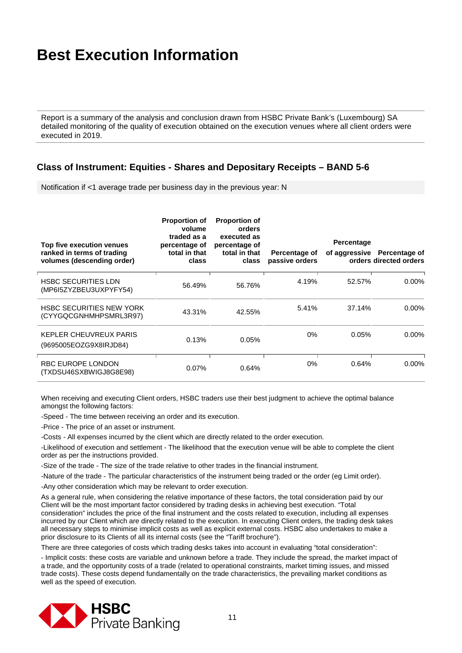Report is a summary of the analysis and conclusion drawn from HSBC Private Bank's (Luxembourg) SA detailed monitoring of the quality of execution obtained on the execution venues where all client orders were executed in 2019.

#### **Class of Instrument: Equities - Shares and Depositary Receipts – BAND 5-6**

Notification if <1 average trade per business day in the previous year: N

| Top five execution venues<br>ranked in terms of trading<br>volumes (descending order) | <b>Proportion of</b><br>volume<br>traded as a<br>percentage of<br>total in that<br>class | <b>Proportion of</b><br>orders<br>executed as<br>percentage of<br>total in that<br>class | Percentage of<br>passive orders | Percentage | of aggressive Percentage of<br>orders directed orders |
|---------------------------------------------------------------------------------------|------------------------------------------------------------------------------------------|------------------------------------------------------------------------------------------|---------------------------------|------------|-------------------------------------------------------|
| <b>HSBC SECURITIES LDN</b><br>(MP6I5ZYZBEU3UXPYFY54)                                  | 56.49%                                                                                   | 56.76%                                                                                   | 4.19%                           | 52.57%     | $0.00\%$                                              |
| <b>HSBC SECURITIES NEW YORK</b><br>(CYYGQCGNHMHPSMRL3R97)                             | 43.31%                                                                                   | 42.55%                                                                                   | 5.41%                           | 37.14%     | $0.00\%$                                              |
| KEPLER CHEUVREUX PARIS<br>(9695005EOZG9X8IRJD84)                                      | 0.13%                                                                                    | 0.05%                                                                                    | $0\%$                           | 0.05%      | $0.00\%$                                              |
| RBC EUROPE LONDON<br>(TXDSU46SXBWIGJ8G8E98)                                           | 0.07%                                                                                    | 0.64%                                                                                    | $0\%$                           | 0.64%      | $0.00\%$                                              |

When receiving and executing Client orders, HSBC traders use their best judgment to achieve the optimal balance amongst the following factors:

-Speed - The time between receiving an order and its execution.

-Price - The price of an asset or instrument.

-Costs - All expenses incurred by the client which are directly related to the order execution.

-Likelihood of execution and settlement - The likelihood that the execution venue will be able to complete the client order as per the instructions provided.

-Size of the trade - The size of the trade relative to other trades in the financial instrument.

-Nature of the trade - The particular characteristics of the instrument being traded or the order (eg Limit order).

-Any other consideration which may be relevant to order execution.

As a general rule, when considering the relative importance of these factors, the total consideration paid by our Client will be the most important factor considered by trading desks in achieving best execution. "Total consideration" includes the price of the final instrument and the costs related to execution, including all expenses incurred by our Client which are directly related to the execution. In executing Client orders, the trading desk takes all necessary steps to minimise implicit costs as well as explicit external costs. HSBC also undertakes to make a prior disclosure to its Clients of all its internal costs (see the "Tariff brochure").

There are three categories of costs which trading desks takes into account in evaluating "total consideration":

- Implicit costs: these costs are variable and unknown before a trade. They include the spread, the market impact of a trade, and the opportunity costs of a trade (related to operational constraints, market timing issues, and missed trade costs). These costs depend fundamentally on the trade characteristics, the prevailing market conditions as well as the speed of execution.

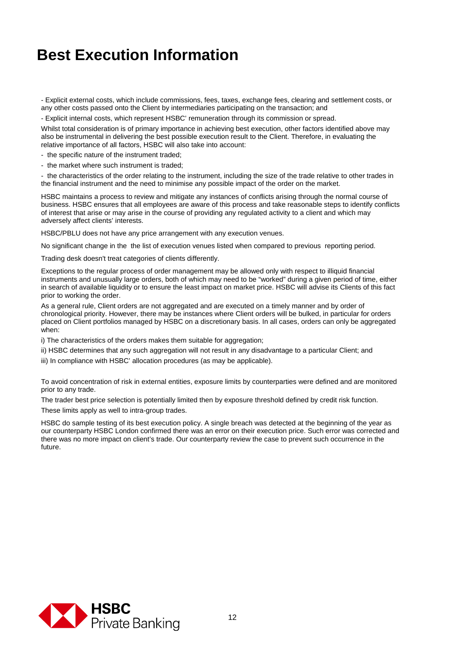- Explicit external costs, which include commissions, fees, taxes, exchange fees, clearing and settlement costs, or any other costs passed onto the Client by intermediaries participating on the transaction; and

- Explicit internal costs, which represent HSBC' remuneration through its commission or spread.

Whilst total consideration is of primary importance in achieving best execution, other factors identified above may also be instrumental in delivering the best possible execution result to the Client. Therefore, in evaluating the relative importance of all factors, HSBC will also take into account:

- the specific nature of the instrument traded;

- the market where such instrument is traded;

- the characteristics of the order relating to the instrument, including the size of the trade relative to other trades in the financial instrument and the need to minimise any possible impact of the order on the market.

HSBC maintains a process to review and mitigate any instances of conflicts arising through the normal course of business. HSBC ensures that all employees are aware of this process and take reasonable steps to identify conflicts of interest that arise or may arise in the course of providing any regulated activity to a client and which may adversely affect clients' interests.

HSBC/PBLU does not have any price arrangement with any execution venues.

No significant change in the the list of execution venues listed when compared to previous reporting period.

Trading desk doesn't treat categories of clients differently.

Exceptions to the regular process of order management may be allowed only with respect to illiquid financial instruments and unusually large orders, both of which may need to be "worked" during a given period of time, either in search of available liquidity or to ensure the least impact on market price. HSBC will advise its Clients of this fact prior to working the order.

As a general rule, Client orders are not aggregated and are executed on a timely manner and by order of chronological priority. However, there may be instances where Client orders will be bulked, in particular for orders placed on Client portfolios managed by HSBC on a discretionary basis. In all cases, orders can only be aggregated when:

i) The characteristics of the orders makes them suitable for aggregation;

ii) HSBC determines that any such aggregation will not result in any disadvantage to a particular Client; and

iii) In compliance with HSBC' allocation procedures (as may be applicable).

To avoid concentration of risk in external entities, exposure limits by counterparties were defined and are monitored prior to any trade.

The trader best price selection is potentially limited then by exposure threshold defined by credit risk function.

These limits apply as well to intra-group trades.

HSBC do sample testing of its best execution policy. A single breach was detected at the beginning of the year as our counterparty HSBC London confirmed there was an error on their execution price. Such error was corrected and there was no more impact on client's trade. Our counterparty review the case to prevent such occurrence in the future.

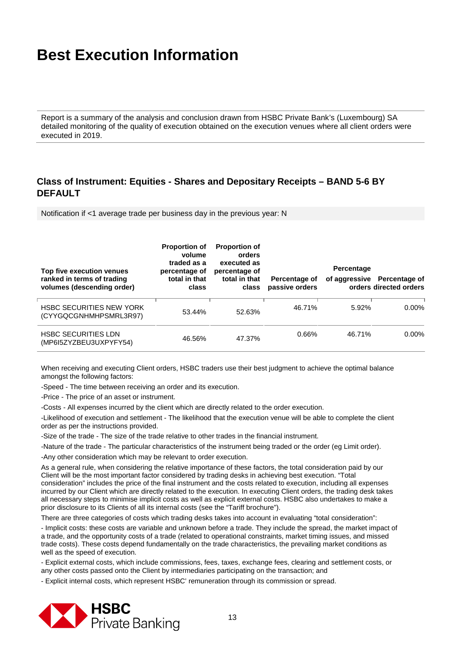Report is a summary of the analysis and conclusion drawn from HSBC Private Bank's (Luxembourg) SA detailed monitoring of the quality of execution obtained on the execution venues where all client orders were executed in 2019.

### **Class of Instrument: Equities - Shares and Depositary Receipts – BAND 5-6 BY DEFAULT**

Notification if <1 average trade per business day in the previous year: N

| Top five execution venues<br>ranked in terms of trading<br>volumes (descending order) | <b>Proportion of</b><br>volume<br>traded as a<br>percentage of<br>total in that<br>class | <b>Proportion of</b><br>orders<br>executed as<br>percentage of<br>total in that<br>class | Percentage of<br>passive orders | Percentage | of aggressive Percentage of<br>orders directed orders |
|---------------------------------------------------------------------------------------|------------------------------------------------------------------------------------------|------------------------------------------------------------------------------------------|---------------------------------|------------|-------------------------------------------------------|
| <b>HSBC SECURITIES NEW YORK</b><br>(CYYGQCGNHMHPSMRL3R97)                             | 53.44%                                                                                   | 52.63%                                                                                   | 46.71%                          | 5.92%      | $0.00\%$                                              |
| <b>HSBC SECURITIES LDN</b><br>(MP6I5ZYZBEU3UXPYFY54)                                  | 46.56%                                                                                   | 47.37%                                                                                   | 0.66%                           | 46.71%     | $0.00\%$                                              |

When receiving and executing Client orders, HSBC traders use their best judgment to achieve the optimal balance amongst the following factors:

-Speed - The time between receiving an order and its execution.

-Price - The price of an asset or instrument.

-Costs - All expenses incurred by the client which are directly related to the order execution.

-Likelihood of execution and settlement - The likelihood that the execution venue will be able to complete the client order as per the instructions provided.

-Size of the trade - The size of the trade relative to other trades in the financial instrument.

-Nature of the trade - The particular characteristics of the instrument being traded or the order (eg Limit order).

-Any other consideration which may be relevant to order execution.

As a general rule, when considering the relative importance of these factors, the total consideration paid by our Client will be the most important factor considered by trading desks in achieving best execution. "Total consideration" includes the price of the final instrument and the costs related to execution, including all expenses incurred by our Client which are directly related to the execution. In executing Client orders, the trading desk takes all necessary steps to minimise implicit costs as well as explicit external costs. HSBC also undertakes to make a prior disclosure to its Clients of all its internal costs (see the "Tariff brochure").

There are three categories of costs which trading desks takes into account in evaluating "total consideration":

- Implicit costs: these costs are variable and unknown before a trade. They include the spread, the market impact of a trade, and the opportunity costs of a trade (related to operational constraints, market timing issues, and missed trade costs). These costs depend fundamentally on the trade characteristics, the prevailing market conditions as well as the speed of execution.

- Explicit external costs, which include commissions, fees, taxes, exchange fees, clearing and settlement costs, or any other costs passed onto the Client by intermediaries participating on the transaction; and

- Explicit internal costs, which represent HSBC' remuneration through its commission or spread.

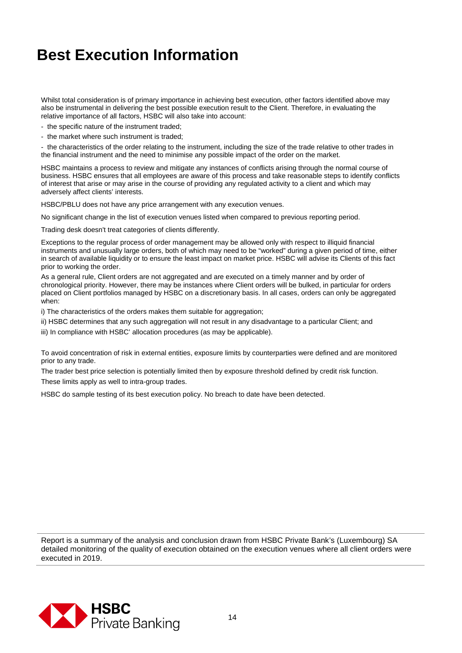Whilst total consideration is of primary importance in achieving best execution, other factors identified above may also be instrumental in delivering the best possible execution result to the Client. Therefore, in evaluating the relative importance of all factors, HSBC will also take into account:

- the specific nature of the instrument traded;
- the market where such instrument is traded;

- the characteristics of the order relating to the instrument, including the size of the trade relative to other trades in the financial instrument and the need to minimise any possible impact of the order on the market.

HSBC maintains a process to review and mitigate any instances of conflicts arising through the normal course of business. HSBC ensures that all employees are aware of this process and take reasonable steps to identify conflicts of interest that arise or may arise in the course of providing any regulated activity to a client and which may adversely affect clients' interests.

HSBC/PBLU does not have any price arrangement with any execution venues.

No significant change in the list of execution venues listed when compared to previous reporting period.

Trading desk doesn't treat categories of clients differently.

Exceptions to the regular process of order management may be allowed only with respect to illiquid financial instruments and unusually large orders, both of which may need to be "worked" during a given period of time, either in search of available liquidity or to ensure the least impact on market price. HSBC will advise its Clients of this fact prior to working the order.

As a general rule, Client orders are not aggregated and are executed on a timely manner and by order of chronological priority. However, there may be instances where Client orders will be bulked, in particular for orders placed on Client portfolios managed by HSBC on a discretionary basis. In all cases, orders can only be aggregated when:

i) The characteristics of the orders makes them suitable for aggregation;

- ii) HSBC determines that any such aggregation will not result in any disadvantage to a particular Client; and
- iii) In compliance with HSBC' allocation procedures (as may be applicable).

To avoid concentration of risk in external entities, exposure limits by counterparties were defined and are monitored prior to any trade.

The trader best price selection is potentially limited then by exposure threshold defined by credit risk function.

These limits apply as well to intra-group trades.

HSBC do sample testing of its best execution policy. No breach to date have been detected.

Report is a summary of the analysis and conclusion drawn from HSBC Private Bank's (Luxembourg) SA detailed monitoring of the quality of execution obtained on the execution venues where all client orders were executed in 2019.

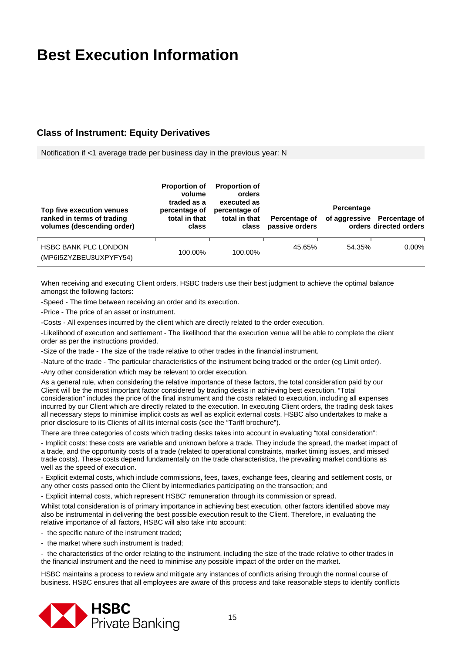### **Class of Instrument: Equity Derivatives**

Notification if <1 average trade per business day in the previous year: N

| Top five execution venues<br>ranked in terms of trading<br>volumes (descending order) | <b>Proportion of</b><br>volume<br>traded as a<br>percentage of<br>total in that<br>class | <b>Proportion of</b><br>orders<br>executed as<br>percentage of<br>total in that<br>class | Percentage of<br>passive orders | Percentage | of aggressive Percentage of<br>orders directed orders |
|---------------------------------------------------------------------------------------|------------------------------------------------------------------------------------------|------------------------------------------------------------------------------------------|---------------------------------|------------|-------------------------------------------------------|
| <b>HSBC BANK PLC LONDON</b><br>(MP6I5ZYZBEU3UXPYFY54)                                 | 100.00%                                                                                  | 100.00%                                                                                  | 45.65%                          | 54.35%     | $0.00\%$                                              |

When receiving and executing Client orders, HSBC traders use their best judgment to achieve the optimal balance amongst the following factors:

-Speed - The time between receiving an order and its execution.

-Price - The price of an asset or instrument.

-Costs - All expenses incurred by the client which are directly related to the order execution.

-Likelihood of execution and settlement - The likelihood that the execution venue will be able to complete the client order as per the instructions provided.

-Size of the trade - The size of the trade relative to other trades in the financial instrument.

-Nature of the trade - The particular characteristics of the instrument being traded or the order (eg Limit order).

-Any other consideration which may be relevant to order execution.

As a general rule, when considering the relative importance of these factors, the total consideration paid by our Client will be the most important factor considered by trading desks in achieving best execution. "Total consideration" includes the price of the final instrument and the costs related to execution, including all expenses incurred by our Client which are directly related to the execution. In executing Client orders, the trading desk takes all necessary steps to minimise implicit costs as well as explicit external costs. HSBC also undertakes to make a prior disclosure to its Clients of all its internal costs (see the "Tariff brochure").

There are three categories of costs which trading desks takes into account in evaluating "total consideration":

- Implicit costs: these costs are variable and unknown before a trade. They include the spread, the market impact of a trade, and the opportunity costs of a trade (related to operational constraints, market timing issues, and missed trade costs). These costs depend fundamentally on the trade characteristics, the prevailing market conditions as well as the speed of execution.

- Explicit external costs, which include commissions, fees, taxes, exchange fees, clearing and settlement costs, or any other costs passed onto the Client by intermediaries participating on the transaction; and

- Explicit internal costs, which represent HSBC' remuneration through its commission or spread.

Whilst total consideration is of primary importance in achieving best execution, other factors identified above may also be instrumental in delivering the best possible execution result to the Client. Therefore, in evaluating the relative importance of all factors, HSBC will also take into account:

- the specific nature of the instrument traded;

- the market where such instrument is traded:

- the characteristics of the order relating to the instrument, including the size of the trade relative to other trades in the financial instrument and the need to minimise any possible impact of the order on the market.

HSBC maintains a process to review and mitigate any instances of conflicts arising through the normal course of business. HSBC ensures that all employees are aware of this process and take reasonable steps to identify conflicts

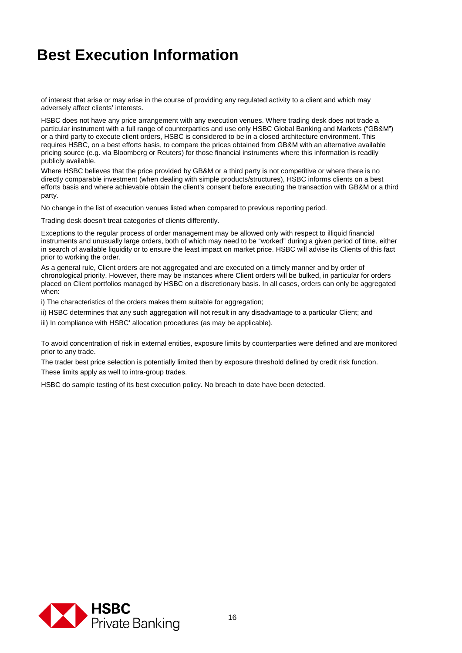of interest that arise or may arise in the course of providing any regulated activity to a client and which may adversely affect clients' interests.

HSBC does not have any price arrangement with any execution venues. Where trading desk does not trade a particular instrument with a full range of counterparties and use only HSBC Global Banking and Markets ("GB&M") or a third party to execute client orders, HSBC is considered to be in a closed architecture environment. This requires HSBC, on a best efforts basis, to compare the prices obtained from GB&M with an alternative available pricing source (e.g. via Bloomberg or Reuters) for those financial instruments where this information is readily publicly available.

Where HSBC believes that the price provided by GB&M or a third party is not competitive or where there is no directly comparable investment (when dealing with simple products/structures), HSBC informs clients on a best efforts basis and where achievable obtain the client's consent before executing the transaction with GB&M or a third party.

No change in the list of execution venues listed when compared to previous reporting period.

Trading desk doesn't treat categories of clients differently.

Exceptions to the regular process of order management may be allowed only with respect to illiquid financial instruments and unusually large orders, both of which may need to be "worked" during a given period of time, either in search of available liquidity or to ensure the least impact on market price. HSBC will advise its Clients of this fact prior to working the order.

As a general rule, Client orders are not aggregated and are executed on a timely manner and by order of chronological priority. However, there may be instances where Client orders will be bulked, in particular for orders placed on Client portfolios managed by HSBC on a discretionary basis. In all cases, orders can only be aggregated when:

i) The characteristics of the orders makes them suitable for aggregation;

ii) HSBC determines that any such aggregation will not result in any disadvantage to a particular Client; and

iii) In compliance with HSBC' allocation procedures (as may be applicable).

To avoid concentration of risk in external entities, exposure limits by counterparties were defined and are monitored prior to any trade.

The trader best price selection is potentially limited then by exposure threshold defined by credit risk function.

These limits apply as well to intra-group trades.

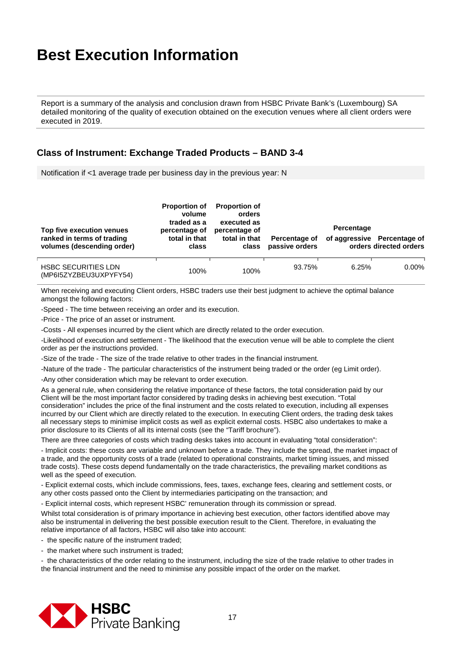Report is a summary of the analysis and conclusion drawn from HSBC Private Bank's (Luxembourg) SA detailed monitoring of the quality of execution obtained on the execution venues where all client orders were executed in 2019.

### **Class of Instrument: Exchange Traded Products – BAND 3-4**

Notification if <1 average trade per business day in the previous year: N

| Top five execution venues<br>ranked in terms of trading<br>volumes (descending order) | <b>Proportion of</b><br>volume<br>traded as a<br>percentage of<br>total in that<br>class | <b>Proportion of</b><br>orders<br>executed as<br>percentage of<br>total in that<br>class | Percentage of<br>passive orders | Percentage | of aggressive Percentage of<br>orders directed orders |
|---------------------------------------------------------------------------------------|------------------------------------------------------------------------------------------|------------------------------------------------------------------------------------------|---------------------------------|------------|-------------------------------------------------------|
| <b>HSBC SECURITIES LDN</b><br>(MP6I5ZYZBEU3UXPYFY54)                                  | 100%                                                                                     | 100%                                                                                     | 93.75%                          | 6.25%      | $0.00\%$                                              |

When receiving and executing Client orders, HSBC traders use their best judgment to achieve the optimal balance amongst the following factors:

-Speed - The time between receiving an order and its execution.

-Price - The price of an asset or instrument.

-Costs - All expenses incurred by the client which are directly related to the order execution.

-Likelihood of execution and settlement - The likelihood that the execution venue will be able to complete the client order as per the instructions provided.

-Size of the trade - The size of the trade relative to other trades in the financial instrument.

-Nature of the trade - The particular characteristics of the instrument being traded or the order (eg Limit order).

-Any other consideration which may be relevant to order execution.

As a general rule, when considering the relative importance of these factors, the total consideration paid by our Client will be the most important factor considered by trading desks in achieving best execution. "Total consideration" includes the price of the final instrument and the costs related to execution, including all expenses incurred by our Client which are directly related to the execution. In executing Client orders, the trading desk takes all necessary steps to minimise implicit costs as well as explicit external costs. HSBC also undertakes to make a prior disclosure to its Clients of all its internal costs (see the "Tariff brochure").

There are three categories of costs which trading desks takes into account in evaluating "total consideration":

- Implicit costs: these costs are variable and unknown before a trade. They include the spread, the market impact of a trade, and the opportunity costs of a trade (related to operational constraints, market timing issues, and missed trade costs). These costs depend fundamentally on the trade characteristics, the prevailing market conditions as well as the speed of execution.

- Explicit external costs, which include commissions, fees, taxes, exchange fees, clearing and settlement costs, or any other costs passed onto the Client by intermediaries participating on the transaction; and

- Explicit internal costs, which represent HSBC' remuneration through its commission or spread.

Whilst total consideration is of primary importance in achieving best execution, other factors identified above may also be instrumental in delivering the best possible execution result to the Client. Therefore, in evaluating the relative importance of all factors, HSBC will also take into account:

- the specific nature of the instrument traded;

- the market where such instrument is traded;

- the characteristics of the order relating to the instrument, including the size of the trade relative to other trades in the financial instrument and the need to minimise any possible impact of the order on the market.

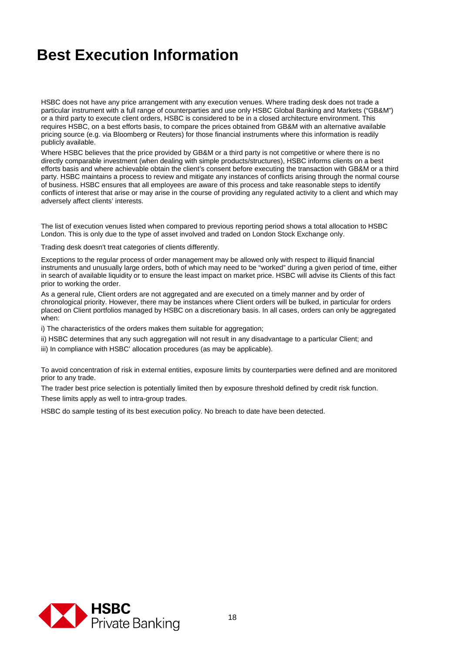HSBC does not have any price arrangement with any execution venues. Where trading desk does not trade a particular instrument with a full range of counterparties and use only HSBC Global Banking and Markets ("GB&M") or a third party to execute client orders, HSBC is considered to be in a closed architecture environment. This requires HSBC, on a best efforts basis, to compare the prices obtained from GB&M with an alternative available pricing source (e.g. via Bloomberg or Reuters) for those financial instruments where this information is readily publicly available.

Where HSBC believes that the price provided by GB&M or a third party is not competitive or where there is no directly comparable investment (when dealing with simple products/structures), HSBC informs clients on a best efforts basis and where achievable obtain the client's consent before executing the transaction with GB&M or a third party. HSBC maintains a process to review and mitigate any instances of conflicts arising through the normal course of business. HSBC ensures that all employees are aware of this process and take reasonable steps to identify conflicts of interest that arise or may arise in the course of providing any regulated activity to a client and which may adversely affect clients' interests.

The list of execution venues listed when compared to previous reporting period shows a total allocation to HSBC London. This is only due to the type of asset involved and traded on London Stock Exchange only.

Trading desk doesn't treat categories of clients differently.

Exceptions to the regular process of order management may be allowed only with respect to illiquid financial instruments and unusually large orders, both of which may need to be "worked" during a given period of time, either in search of available liquidity or to ensure the least impact on market price. HSBC will advise its Clients of this fact prior to working the order.

As a general rule, Client orders are not aggregated and are executed on a timely manner and by order of chronological priority. However, there may be instances where Client orders will be bulked, in particular for orders placed on Client portfolios managed by HSBC on a discretionary basis. In all cases, orders can only be aggregated when:

i) The characteristics of the orders makes them suitable for aggregation;

ii) HSBC determines that any such aggregation will not result in any disadvantage to a particular Client; and

iii) In compliance with HSBC' allocation procedures (as may be applicable).

To avoid concentration of risk in external entities, exposure limits by counterparties were defined and are monitored prior to any trade.

The trader best price selection is potentially limited then by exposure threshold defined by credit risk function. These limits apply as well to intra-group trades.

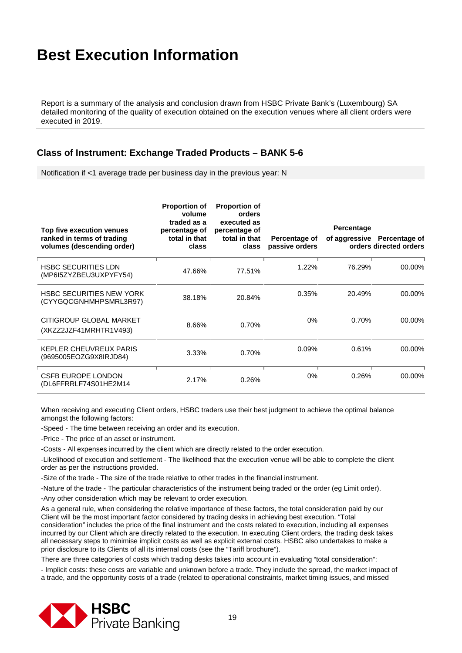Report is a summary of the analysis and conclusion drawn from HSBC Private Bank's (Luxembourg) SA detailed monitoring of the quality of execution obtained on the execution venues where all client orders were executed in 2019.

### **Class of Instrument: Exchange Traded Products – BANK 5-6**

Notification if <1 average trade per business day in the previous year: N

| Top five execution venues<br>ranked in terms of trading<br>volumes (descending order) | <b>Proportion of</b><br>volume<br>traded as a<br>percentage of<br>total in that<br>class | <b>Proportion of</b><br>orders<br>executed as<br>percentage of<br>total in that<br>class | Percentage of<br>passive orders | Percentage | of aggressive Percentage of<br>orders directed orders |
|---------------------------------------------------------------------------------------|------------------------------------------------------------------------------------------|------------------------------------------------------------------------------------------|---------------------------------|------------|-------------------------------------------------------|
| <b>HSBC SECURITIES LDN</b><br>(MP6I5ZYZBEU3UXPYFY54)                                  | 47.66%                                                                                   | 77.51%                                                                                   | 1.22%                           | 76.29%     | 00.00%                                                |
| <b>HSBC SECURITIES NEW YORK</b><br>(CYYGQCGNHMHPSMRL3R97)                             | 38.18%                                                                                   | 20.84%                                                                                   | 0.35%                           | 20.49%     | 00.00%                                                |
| CITIGROUP GLOBAL MARKET<br>(XKZZ2JZF41MRHTR1V493)                                     | 8.66%                                                                                    | 0.70%                                                                                    | 0%                              | 0.70%      | 00.00%                                                |
| KEPLER CHEUVREUX PARIS<br>(9695005EOZG9X8IRJD84)                                      | 3.33%                                                                                    | 0.70%                                                                                    | 0.09%                           | 0.61%      | 00.00%                                                |
| <b>CSFB EUROPE LONDON</b><br>(DL6FFRRLF74S01HE2M14                                    | 2.17%                                                                                    | 0.26%                                                                                    | 0%                              | 0.26%      | 00.00%                                                |

When receiving and executing Client orders, HSBC traders use their best judgment to achieve the optimal balance amongst the following factors:

-Speed - The time between receiving an order and its execution.

-Price - The price of an asset or instrument.

-Costs - All expenses incurred by the client which are directly related to the order execution.

-Likelihood of execution and settlement - The likelihood that the execution venue will be able to complete the client order as per the instructions provided.

-Size of the trade - The size of the trade relative to other trades in the financial instrument.

-Nature of the trade - The particular characteristics of the instrument being traded or the order (eg Limit order).

-Any other consideration which may be relevant to order execution.

As a general rule, when considering the relative importance of these factors, the total consideration paid by our Client will be the most important factor considered by trading desks in achieving best execution. "Total consideration" includes the price of the final instrument and the costs related to execution, including all expenses incurred by our Client which are directly related to the execution. In executing Client orders, the trading desk takes all necessary steps to minimise implicit costs as well as explicit external costs. HSBC also undertakes to make a prior disclosure to its Clients of all its internal costs (see the "Tariff brochure").

There are three categories of costs which trading desks takes into account in evaluating "total consideration":

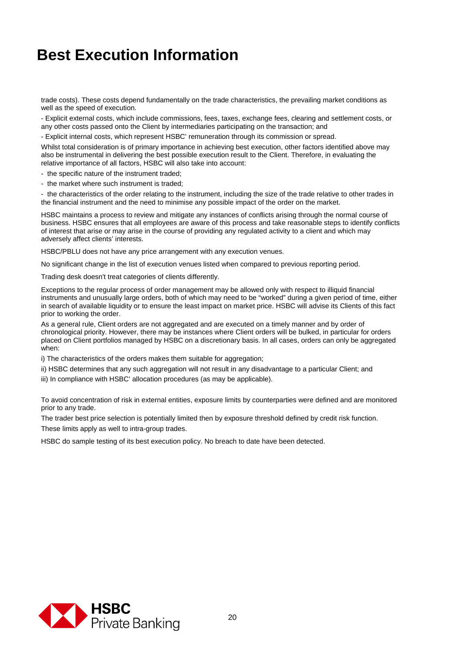trade costs). These costs depend fundamentally on the trade characteristics, the prevailing market conditions as well as the speed of execution.

- Explicit external costs, which include commissions, fees, taxes, exchange fees, clearing and settlement costs, or any other costs passed onto the Client by intermediaries participating on the transaction; and

- Explicit internal costs, which represent HSBC' remuneration through its commission or spread.

Whilst total consideration is of primary importance in achieving best execution, other factors identified above may also be instrumental in delivering the best possible execution result to the Client. Therefore, in evaluating the relative importance of all factors, HSBC will also take into account:

- the specific nature of the instrument traded;

- the market where such instrument is traded;

- the characteristics of the order relating to the instrument, including the size of the trade relative to other trades in the financial instrument and the need to minimise any possible impact of the order on the market.

HSBC maintains a process to review and mitigate any instances of conflicts arising through the normal course of business. HSBC ensures that all employees are aware of this process and take reasonable steps to identify conflicts of interest that arise or may arise in the course of providing any regulated activity to a client and which may adversely affect clients' interests.

HSBC/PBLU does not have any price arrangement with any execution venues.

No significant change in the list of execution venues listed when compared to previous reporting period.

Trading desk doesn't treat categories of clients differently.

Exceptions to the regular process of order management may be allowed only with respect to illiquid financial instruments and unusually large orders, both of which may need to be "worked" during a given period of time, either in search of available liquidity or to ensure the least impact on market price. HSBC will advise its Clients of this fact prior to working the order.

As a general rule, Client orders are not aggregated and are executed on a timely manner and by order of chronological priority. However, there may be instances where Client orders will be bulked, in particular for orders placed on Client portfolios managed by HSBC on a discretionary basis. In all cases, orders can only be aggregated when:

i) The characteristics of the orders makes them suitable for aggregation;

ii) HSBC determines that any such aggregation will not result in any disadvantage to a particular Client; and

iii) In compliance with HSBC' allocation procedures (as may be applicable).

To avoid concentration of risk in external entities, exposure limits by counterparties were defined and are monitored prior to any trade.

The trader best price selection is potentially limited then by exposure threshold defined by credit risk function.

These limits apply as well to intra-group trades.

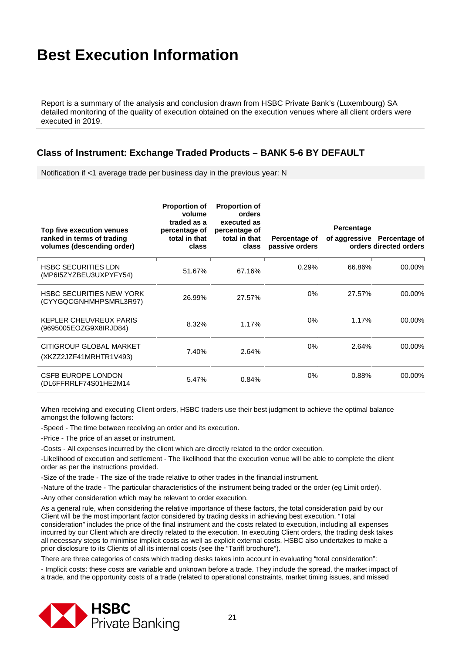Report is a summary of the analysis and conclusion drawn from HSBC Private Bank's (Luxembourg) SA detailed monitoring of the quality of execution obtained on the execution venues where all client orders were executed in 2019.

#### **Class of Instrument: Exchange Traded Products – BANK 5-6 BY DEFAULT**

Notification if <1 average trade per business day in the previous year: N

| Top five execution venues<br>ranked in terms of trading<br>volumes (descending order) | <b>Proportion of</b><br>volume<br>traded as a<br>percentage of<br>total in that<br>class | <b>Proportion of</b><br>orders<br>executed as<br>percentage of<br>total in that<br>class | Percentage of<br>passive orders | <b>Percentage</b> | of aggressive Percentage of<br>orders directed orders |
|---------------------------------------------------------------------------------------|------------------------------------------------------------------------------------------|------------------------------------------------------------------------------------------|---------------------------------|-------------------|-------------------------------------------------------|
| <b>HSBC SECURITIES LDN</b><br>(MP6I5ZYZBEU3UXPYFY54)                                  | 51.67%                                                                                   | 67.16%                                                                                   | 0.29%                           | 66.86%            | 00.00%                                                |
| <b>HSBC SECURITIES NEW YORK</b><br>(CYYGQCGNHMHPSMRL3R97)                             | 26.99%                                                                                   | 27.57%                                                                                   | $0\%$                           | 27.57%            | 00.00%                                                |
| <b>KEPLER CHEUVREUX PARIS</b><br>(9695005EOZG9X8IRJD84)                               | 8.32%                                                                                    | 1.17%                                                                                    | $0\%$                           | 1.17%             | 00.00%                                                |
| CITIGROUP GLOBAL MARKET<br>(XKZZ2JZF41MRHTR1V493)                                     | 7.40%                                                                                    | 2.64%                                                                                    | $0\%$                           | 2.64%             | 00.00%                                                |
| <b>CSFB EUROPE LONDON</b><br>(DL6FFRRLF74S01HE2M14                                    | 5.47%                                                                                    | 0.84%                                                                                    | $0\%$                           | 0.88%             | 00.00%                                                |

When receiving and executing Client orders, HSBC traders use their best judgment to achieve the optimal balance amongst the following factors:

-Speed - The time between receiving an order and its execution.

-Price - The price of an asset or instrument.

-Costs - All expenses incurred by the client which are directly related to the order execution.

-Likelihood of execution and settlement - The likelihood that the execution venue will be able to complete the client order as per the instructions provided.

-Size of the trade - The size of the trade relative to other trades in the financial instrument.

-Nature of the trade - The particular characteristics of the instrument being traded or the order (eg Limit order).

-Any other consideration which may be relevant to order execution.

As a general rule, when considering the relative importance of these factors, the total consideration paid by our Client will be the most important factor considered by trading desks in achieving best execution. "Total consideration" includes the price of the final instrument and the costs related to execution, including all expenses incurred by our Client which are directly related to the execution. In executing Client orders, the trading desk takes all necessary steps to minimise implicit costs as well as explicit external costs. HSBC also undertakes to make a prior disclosure to its Clients of all its internal costs (see the "Tariff brochure").

There are three categories of costs which trading desks takes into account in evaluating "total consideration":

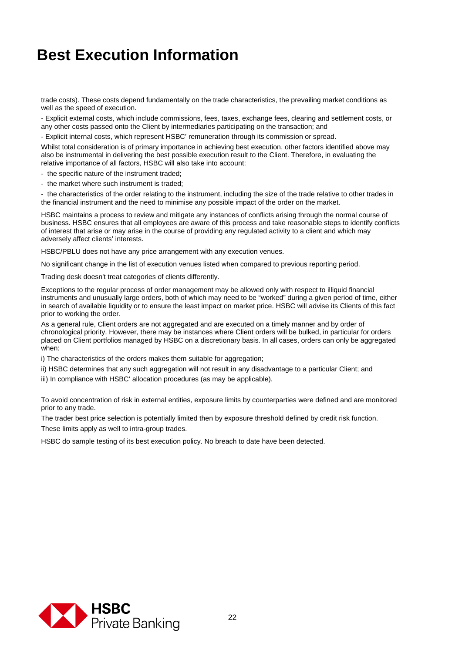trade costs). These costs depend fundamentally on the trade characteristics, the prevailing market conditions as well as the speed of execution.

- Explicit external costs, which include commissions, fees, taxes, exchange fees, clearing and settlement costs, or any other costs passed onto the Client by intermediaries participating on the transaction; and

- Explicit internal costs, which represent HSBC' remuneration through its commission or spread.

Whilst total consideration is of primary importance in achieving best execution, other factors identified above may also be instrumental in delivering the best possible execution result to the Client. Therefore, in evaluating the relative importance of all factors, HSBC will also take into account:

- the specific nature of the instrument traded;
- the market where such instrument is traded;

- the characteristics of the order relating to the instrument, including the size of the trade relative to other trades in the financial instrument and the need to minimise any possible impact of the order on the market.

HSBC maintains a process to review and mitigate any instances of conflicts arising through the normal course of business. HSBC ensures that all employees are aware of this process and take reasonable steps to identify conflicts of interest that arise or may arise in the course of providing any regulated activity to a client and which may adversely affect clients' interests.

HSBC/PBLU does not have any price arrangement with any execution venues.

No significant change in the list of execution venues listed when compared to previous reporting period.

Trading desk doesn't treat categories of clients differently.

Exceptions to the regular process of order management may be allowed only with respect to illiquid financial instruments and unusually large orders, both of which may need to be "worked" during a given period of time, either in search of available liquidity or to ensure the least impact on market price. HSBC will advise its Clients of this fact prior to working the order.

As a general rule, Client orders are not aggregated and are executed on a timely manner and by order of chronological priority. However, there may be instances where Client orders will be bulked, in particular for orders placed on Client portfolios managed by HSBC on a discretionary basis. In all cases, orders can only be aggregated when:

i) The characteristics of the orders makes them suitable for aggregation;

ii) HSBC determines that any such aggregation will not result in any disadvantage to a particular Client; and

iii) In compliance with HSBC' allocation procedures (as may be applicable).

To avoid concentration of risk in external entities, exposure limits by counterparties were defined and are monitored prior to any trade.

The trader best price selection is potentially limited then by exposure threshold defined by credit risk function.

These limits apply as well to intra-group trades.

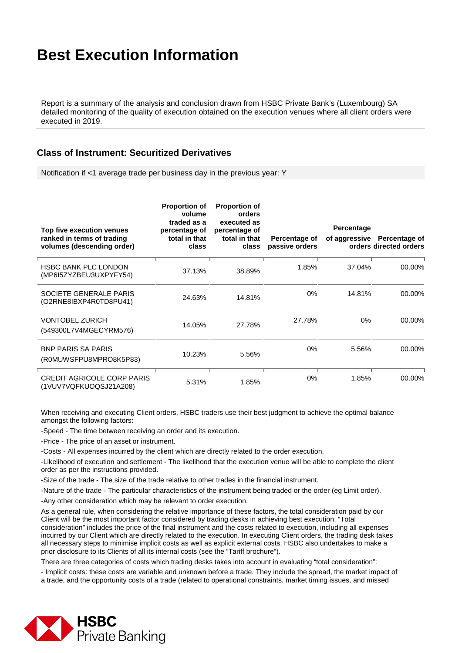Report is a summary of the analysis and conclusion drawn from HSBC Private Bank's (Luxembourg) SA detailed monitoring of the quality of execution obtained on the execution venues where all client orders were executed in 2019.

#### **Class of Instrument: Securitized Derivatives**

Notification if <1 average trade per business day in the previous year: Y

| Top five execution venues<br>ranked in terms of trading<br>volumes (descending order) | <b>Proportion of</b><br>volume<br>traded as a<br>percentage of<br>total in that<br>class | <b>Proportion of</b><br>orders<br>executed as<br>percentage of<br>total in that<br>class | Percentage of<br>passive orders | Percentage | of aggressive Percentage of<br>orders directed orders |
|---------------------------------------------------------------------------------------|------------------------------------------------------------------------------------------|------------------------------------------------------------------------------------------|---------------------------------|------------|-------------------------------------------------------|
| <b>HSBC BANK PLC LONDON</b><br>(MP6I5ZYZBEU3UXPYFY54)                                 | 37.13%                                                                                   | 38.89%                                                                                   | 1.85%                           | 37.04%     | 00.00%                                                |
| SOCIETE GENERALE PARIS<br>(O2RNE8IBXP4R0TD8PU41)                                      | 24.63%                                                                                   | 14.81%                                                                                   | $0\%$                           | 14.81%     | 00.00%                                                |
| <b>VONTOBEL ZURICH</b><br>(549300L7V4MGECYRM576)                                      | 14.05%                                                                                   | 27.78%                                                                                   | 27.78%                          | $0\%$      | 00.00%                                                |
| <b>BNP PARIS SA PARIS</b><br>(R0MUWSFPU8MPRO8K5P83)                                   | 10.23%                                                                                   | 5.56%                                                                                    | 0%                              | 5.56%      | 00.00%                                                |
| <b>CREDIT AGRICOLE CORP PARIS</b><br>(1VUV7VQFKUOQSJ21A208)                           | 5.31%                                                                                    | 1.85%                                                                                    | 0%                              | 1.85%      | 00.00%                                                |

When receiving and executing Client orders, HSBC traders use their best judgment to achieve the optimal balance amongst the following factors:

-Speed - The time between receiving an order and its execution.

-Price - The price of an asset or instrument.

-Costs - All expenses incurred by the client which are directly related to the order execution.

-Likelihood of execution and settlement - The likelihood that the execution venue will be able to complete the client order as per the instructions provided.

-Size of the trade - The size of the trade relative to other trades in the financial instrument.

-Nature of the trade - The particular characteristics of the instrument being traded or the order (eg Limit order).

-Any other consideration which may be relevant to order execution.

As a general rule, when considering the relative importance of these factors, the total consideration paid by our Client will be the most important factor considered by trading desks in achieving best execution. "Total consideration" includes the price of the final instrument and the costs related to execution, including all expenses incurred by our Client which are directly related to the execution. In executing Client orders, the trading desk takes all necessary steps to minimise implicit costs as well as explicit external costs. HSBC also undertakes to make a prior disclosure to its Clients of all its internal costs (see the "Tariff brochure").

There are three categories of costs which trading desks takes into account in evaluating "total consideration":

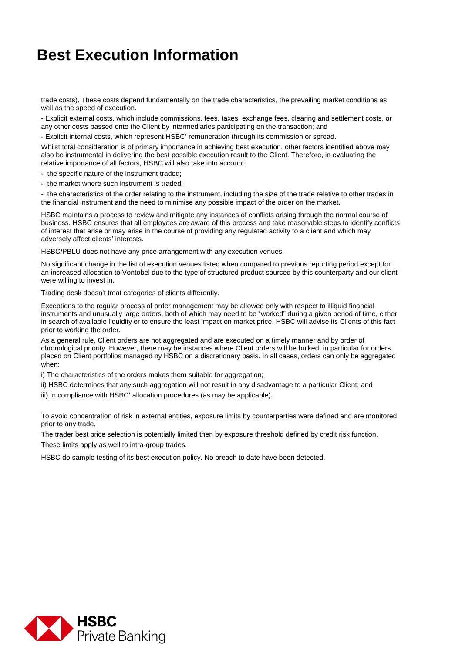trade costs). These costs depend fundamentally on the trade characteristics, the prevailing market conditions as well as the speed of execution.

- Explicit external costs, which include commissions, fees, taxes, exchange fees, clearing and settlement costs, or any other costs passed onto the Client by intermediaries participating on the transaction; and

- Explicit internal costs, which represent HSBC' remuneration through its commission or spread.

Whilst total consideration is of primary importance in achieving best execution, other factors identified above may also be instrumental in delivering the best possible execution result to the Client. Therefore, in evaluating the relative importance of all factors, HSBC will also take into account:

- the specific nature of the instrument traded;
- the market where such instrument is traded;

- the characteristics of the order relating to the instrument, including the size of the trade relative to other trades in the financial instrument and the need to minimise any possible impact of the order on the market.

HSBC maintains a process to review and mitigate any instances of conflicts arising through the normal course of business. HSBC ensures that all employees are aware of this process and take reasonable steps to identify conflicts of interest that arise or may arise in the course of providing any regulated activity to a client and which may adversely affect clients' interests.

HSBC/PBLU does not have any price arrangement with any execution venues.

No significant change in the list of execution venues listed when compared to previous reporting period except for an increased allocation to Vontobel due to the type of structured product sourced by this counterparty and our client were willing to invest in.

Trading desk doesn't treat categories of clients differently.

Exceptions to the regular process of order management may be allowed only with respect to illiquid financial instruments and unusually large orders, both of which may need to be "worked" during a given period of time, either in search of available liquidity or to ensure the least impact on market price. HSBC will advise its Clients of this fact prior to working the order.

As a general rule, Client orders are not aggregated and are executed on a timely manner and by order of chronological priority. However, there may be instances where Client orders will be bulked, in particular for orders placed on Client portfolios managed by HSBC on a discretionary basis. In all cases, orders can only be aggregated when:

i) The characteristics of the orders makes them suitable for aggregation;

ii) HSBC determines that any such aggregation will not result in any disadvantage to a particular Client; and

iii) In compliance with HSBC' allocation procedures (as may be applicable).

To avoid concentration of risk in external entities, exposure limits by counterparties were defined and are monitored prior to any trade.

The trader best price selection is potentially limited then by exposure threshold defined by credit risk function. These limits apply as well to intra-group trades.

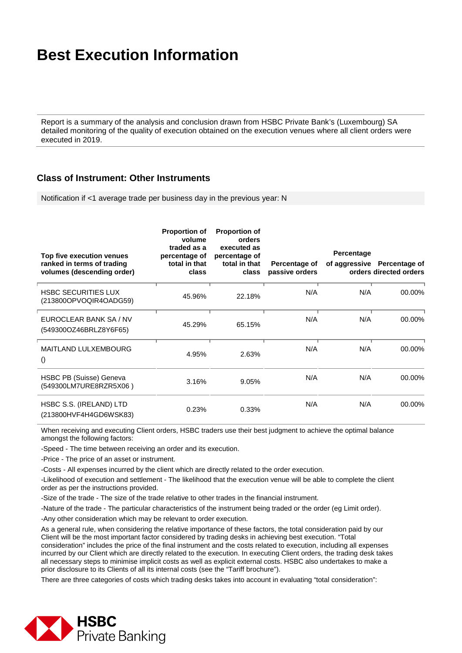Report is a summary of the analysis and conclusion drawn from HSBC Private Bank's (Luxembourg) SA detailed monitoring of the quality of execution obtained on the execution venues where all client orders were executed in 2019.

#### **Class of Instrument: Other Instruments**

Notification if <1 average trade per business day in the previous year: N

| Top five execution venues<br>ranked in terms of trading<br>volumes (descending order) | <b>Proportion of</b><br>volume<br>traded as a<br>percentage of<br>total in that<br>class | <b>Proportion of</b><br>orders<br>executed as<br>percentage of<br>total in that<br>class | Percentage of<br>passive orders | Percentage | of aggressive Percentage of<br>orders directed orders |
|---------------------------------------------------------------------------------------|------------------------------------------------------------------------------------------|------------------------------------------------------------------------------------------|---------------------------------|------------|-------------------------------------------------------|
| <b>HSBC SECURITIES LUX</b><br>(213800OPVOQIR4OADG59)                                  | 45.96%                                                                                   | 22.18%                                                                                   | N/A                             | N/A        | 00.00%                                                |
| EUROCLEAR BANK SA / NV<br>(549300OZ46BRLZ8Y6F65)                                      | 45.29%                                                                                   | 65.15%                                                                                   | N/A                             | N/A        | 00.00%                                                |
| <b>MAITLAND LULXEMBOURG</b><br>$\left( \right)$                                       | 4.95%                                                                                    | 2.63%                                                                                    | N/A                             | N/A        | 00.00%                                                |
| HSBC PB (Suisse) Geneva<br>(549300LM7URE8RZR5X06)                                     | 3.16%                                                                                    | 9.05%                                                                                    | N/A                             | N/A        | 00.00%                                                |
| HSBC S.S. (IRELAND) LTD<br>(213800HVF4H4GD6WSK83)                                     | 0.23%                                                                                    | 0.33%                                                                                    | N/A                             | N/A        | 00.00%                                                |

When receiving and executing Client orders, HSBC traders use their best judgment to achieve the optimal balance amongst the following factors:

-Speed - The time between receiving an order and its execution.

-Price - The price of an asset or instrument.

-Costs - All expenses incurred by the client which are directly related to the order execution.

-Likelihood of execution and settlement - The likelihood that the execution venue will be able to complete the client order as per the instructions provided.

-Size of the trade - The size of the trade relative to other trades in the financial instrument.

-Nature of the trade - The particular characteristics of the instrument being traded or the order (eg Limit order).

-Any other consideration which may be relevant to order execution.

As a general rule, when considering the relative importance of these factors, the total consideration paid by our Client will be the most important factor considered by trading desks in achieving best execution. "Total consideration" includes the price of the final instrument and the costs related to execution, including all expenses incurred by our Client which are directly related to the execution. In executing Client orders, the trading desk takes all necessary steps to minimise implicit costs as well as explicit external costs. HSBC also undertakes to make a prior disclosure to its Clients of all its internal costs (see the "Tariff brochure").

There are three categories of costs which trading desks takes into account in evaluating "total consideration":

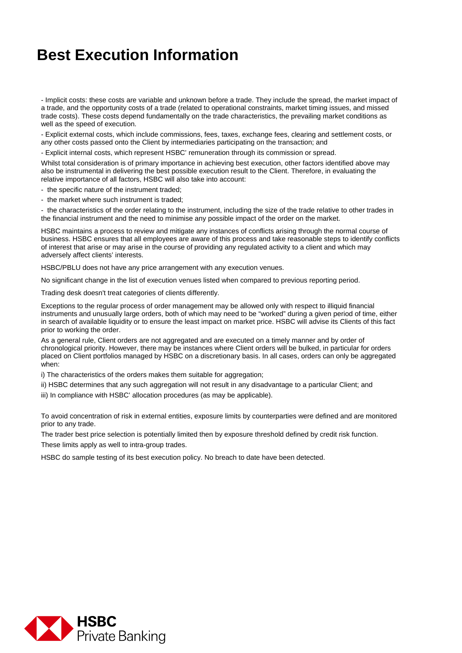- Implicit costs: these costs are variable and unknown before a trade. They include the spread, the market impact of a trade, and the opportunity costs of a trade (related to operational constraints, market timing issues, and missed trade costs). These costs depend fundamentally on the trade characteristics, the prevailing market conditions as well as the speed of execution.

- Explicit external costs, which include commissions, fees, taxes, exchange fees, clearing and settlement costs, or any other costs passed onto the Client by intermediaries participating on the transaction; and

- Explicit internal costs, which represent HSBC' remuneration through its commission or spread.

Whilst total consideration is of primary importance in achieving best execution, other factors identified above may also be instrumental in delivering the best possible execution result to the Client. Therefore, in evaluating the relative importance of all factors, HSBC will also take into account:

- the specific nature of the instrument traded;

- the market where such instrument is traded;

- the characteristics of the order relating to the instrument, including the size of the trade relative to other trades in the financial instrument and the need to minimise any possible impact of the order on the market.

HSBC maintains a process to review and mitigate any instances of conflicts arising through the normal course of business. HSBC ensures that all employees are aware of this process and take reasonable steps to identify conflicts of interest that arise or may arise in the course of providing any regulated activity to a client and which may adversely affect clients' interests.

HSBC/PBLU does not have any price arrangement with any execution venues.

No significant change in the list of execution venues listed when compared to previous reporting period.

Trading desk doesn't treat categories of clients differently.

Exceptions to the regular process of order management may be allowed only with respect to illiquid financial instruments and unusually large orders, both of which may need to be "worked" during a given period of time, either in search of available liquidity or to ensure the least impact on market price. HSBC will advise its Clients of this fact prior to working the order.

As a general rule, Client orders are not aggregated and are executed on a timely manner and by order of chronological priority. However, there may be instances where Client orders will be bulked, in particular for orders placed on Client portfolios managed by HSBC on a discretionary basis. In all cases, orders can only be aggregated when:

i) The characteristics of the orders makes them suitable for aggregation;

ii) HSBC determines that any such aggregation will not result in any disadvantage to a particular Client; and

iii) In compliance with HSBC' allocation procedures (as may be applicable).

To avoid concentration of risk in external entities, exposure limits by counterparties were defined and are monitored prior to any trade.

The trader best price selection is potentially limited then by exposure threshold defined by credit risk function. These limits apply as well to intra-group trades.